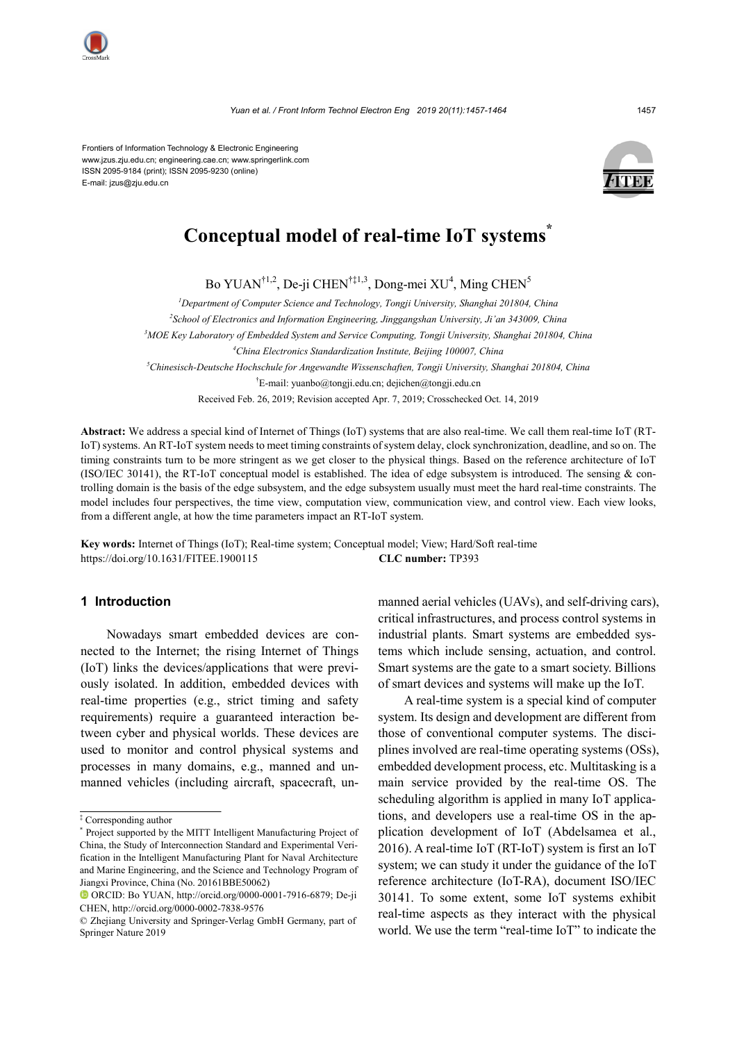

Frontiers of Information Technology & Electronic Engineering www.jzus.zju.edu.cn; engineering.cae.cn; www.springerlink.com ISSN 2095-9184 (print); ISSN 2095-9230 (online) E-mail: jzus@zju.edu.cn



# **Conceptual model of real-time IoT systems\***

Bo YUAN<sup>†1,2</sup>, De-ji CHEN<sup>†‡1,3</sup>, Dong-mei XU<sup>4</sup>, Ming CHEN<sup>5</sup>

 *Department of Computer Science and Technology, Tongji University, Shanghai 201804, China School of Electronics and Information Engineering, Jinggangshan University, Ji'an 343009, China MOE Key Laboratory of Embedded System and Service Computing, Tongji University, Shanghai 201804, China China Electronics Standardization Institute, Beijing 100007, China Chinesisch-Deutsche Hochschule for Angewandte Wissenschaften, Tongji University, Shanghai 201804, China* † E-mail: yuanbo@tongji.edu.cn; dejichen@tongji.edu.cn Received Feb. 26, 2019; Revision accepted Apr. 7, 2019; Crosschecked Oct. 14, 2019

**Abstract:** We address a special kind of Internet of Things (IoT) systems that are also real-time. We call them real-time IoT (RT-IoT) systems. An RT-IoT system needs to meet timing constraints of system delay, clock synchronization, deadline, and so on. The timing constraints turn to be more stringent as we get closer to the physical things. Based on the reference architecture of IoT (ISO/IEC 30141), the RT-IoT conceptual model is established. The idea of edge subsystem is introduced. The sensing & controlling domain is the basis of the edge subsystem, and the edge subsystem usually must meet the hard real-time constraints. The model includes four perspectives, the time view, computation view, communication view, and control view. Each view looks, from a different angle, at how the time parameters impact an RT-IoT system.

**Key words:** Internet of Things (IoT); Real-time system; Conceptual model; View; Hard/Soft real-time https://doi.org/10.1631/FITEE.1900115 **CLC number:** TP393

# **1 Introduction**

Nowadays smart embedded devices are connected to the Internet; the rising Internet of Things (IoT) links the devices/applications that were previously isolated. In addition, embedded devices with real-time properties (e.g., strict timing and safety requirements) require a guaranteed interaction between cyber and physical worlds. These devices are used to monitor and control physical systems and processes in many domains, e.g., manned and unmanned vehicles (including aircraft, spacecraft, unmanned aerial vehicles (UAVs), and self-driving cars), critical infrastructures, and process control systems in industrial plants. Smart systems are embedded systems which include sensing, actuation, and control. Smart systems are the gate to a smart society. Billions of smart devices and systems will make up the IoT.

A real-time system is a special kind of computer system. Its design and development are different from those of conventional computer systems. The disciplines involved are real-time operating systems (OSs), embedded development process, etc. Multitasking is a main service provided by the real-time OS. The scheduling algorithm is applied in many IoT applications, and developers use a real-time OS in the application development of IoT (Abdelsamea et al., 2016). A real-time IoT (RT-IoT) system is first an IoT system; we can study it under the guidance of the IoT reference architecture (IoT-RA), document ISO/IEC 30141. To some extent, some IoT systems exhibit real-time aspects as they interact with the physical world. We use the term "real-time IoT" to indicate the

<sup>‡</sup> Corresponding author

<sup>\*</sup> Project supported by the MITT Intelligent Manufacturing Project of China, the Study of Interconnection Standard and Experimental Verification in the Intelligent Manufacturing Plant for Naval Architecture and Marine Engineering, and the Science and Technology Program of Jiangxi Province, China (No. 20161BBE50062)

ORCID: Bo YUAN, http://orcid.org/0000-0001-7916-6879; De-ji CHEN, http://orcid.org/0000-0002-7838-9576

<sup>©</sup> Zhejiang University and Springer-Verlag GmbH Germany, part of Springer Nature 2019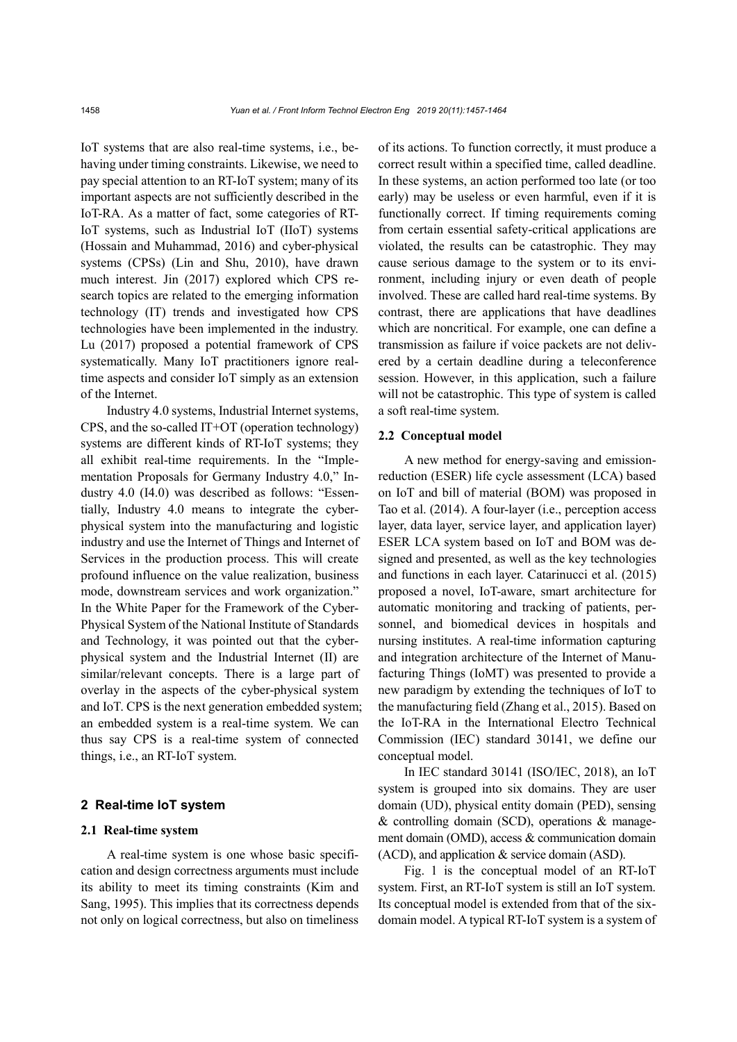IoT systems that are also real-time systems, i.e., behaving under timing constraints. Likewise, we need to pay special attention to an RT-IoT system; many of its important aspects are not sufficiently described in the IoT-RA. As a matter of fact, some categories of RT-IoT systems, such as Industrial IoT (IIoT) systems (Hossain and Muhammad, 2016) and cyber-physical systems (CPSs) (Lin and Shu, 2010), have drawn much interest. Jin (2017) explored which CPS research topics are related to the emerging information technology (IT) trends and investigated how CPS technologies have been implemented in the industry. Lu (2017) proposed a potential framework of CPS systematically. Many IoT practitioners ignore realtime aspects and consider IoT simply as an extension of the Internet.

Industry 4.0 systems, Industrial Internet systems, CPS, and the so-called IT+OT (operation technology) systems are different kinds of RT-IoT systems; they all exhibit real-time requirements. In the "Implementation Proposals for Germany Industry 4.0," Industry 4.0 (I4.0) was described as follows: "Essentially, Industry 4.0 means to integrate the cyberphysical system into the manufacturing and logistic industry and use the Internet of Things and Internet of Services in the production process. This will create profound influence on the value realization, business mode, downstream services and work organization." In the White Paper for the Framework of the Cyber-Physical System of the National Institute of Standards and Technology, it was pointed out that the cyberphysical system and the Industrial Internet (II) are similar/relevant concepts. There is a large part of overlay in the aspects of the cyber-physical system and IoT. CPS is the next generation embedded system; an embedded system is a real-time system. We can thus say CPS is a real-time system of connected things, i.e., an RT-IoT system.

## **2 Real-time IoT system**

## **2.1 Real-time system**

A real-time system is one whose basic specification and design correctness arguments must include its ability to meet its timing constraints (Kim and Sang, 1995). This implies that its correctness depends not only on logical correctness, but also on timeliness

of its actions. To function correctly, it must produce a correct result within a specified time, called deadline. In these systems, an action performed too late (or too early) may be useless or even harmful, even if it is functionally correct. If timing requirements coming from certain essential safety-critical applications are violated, the results can be catastrophic. They may cause serious damage to the system or to its environment, including injury or even death of people involved. These are called hard real-time systems. By contrast, there are applications that have deadlines which are noncritical. For example, one can define a transmission as failure if voice packets are not delivered by a certain deadline during a teleconference session. However, in this application, such a failure will not be catastrophic. This type of system is called a soft real-time system.

## **2.2 Conceptual model**

A new method for energy-saving and emissionreduction (ESER) life cycle assessment (LCA) based on IoT and bill of material (BOM) was proposed in Tao et al. (2014). A four-layer (i.e., perception access layer, data layer, service layer, and application layer) ESER LCA system based on IoT and BOM was designed and presented, as well as the key technologies and functions in each layer. Catarinucci et al. (2015) proposed a novel, IoT-aware, smart architecture for automatic monitoring and tracking of patients, personnel, and biomedical devices in hospitals and nursing institutes. A real-time information capturing and integration architecture of the Internet of Manufacturing Things (IoMT) was presented to provide a new paradigm by extending the techniques of IoT to the manufacturing field (Zhang et al., 2015). Based on the IoT-RA in the International Electro Technical Commission (IEC) standard 30141, we define our conceptual model.

In IEC standard 30141 (ISO/IEC, 2018), an IoT system is grouped into six domains. They are user domain (UD), physical entity domain (PED), sensing & controlling domain (SCD), operations & management domain (OMD), access & communication domain (ACD), and application & service domain (ASD).

Fig. 1 is the conceptual model of an RT-IoT system. First, an RT-IoT system is still an IoT system. Its conceptual model is extended from that of the sixdomain model. A typical RT-IoT system is a system of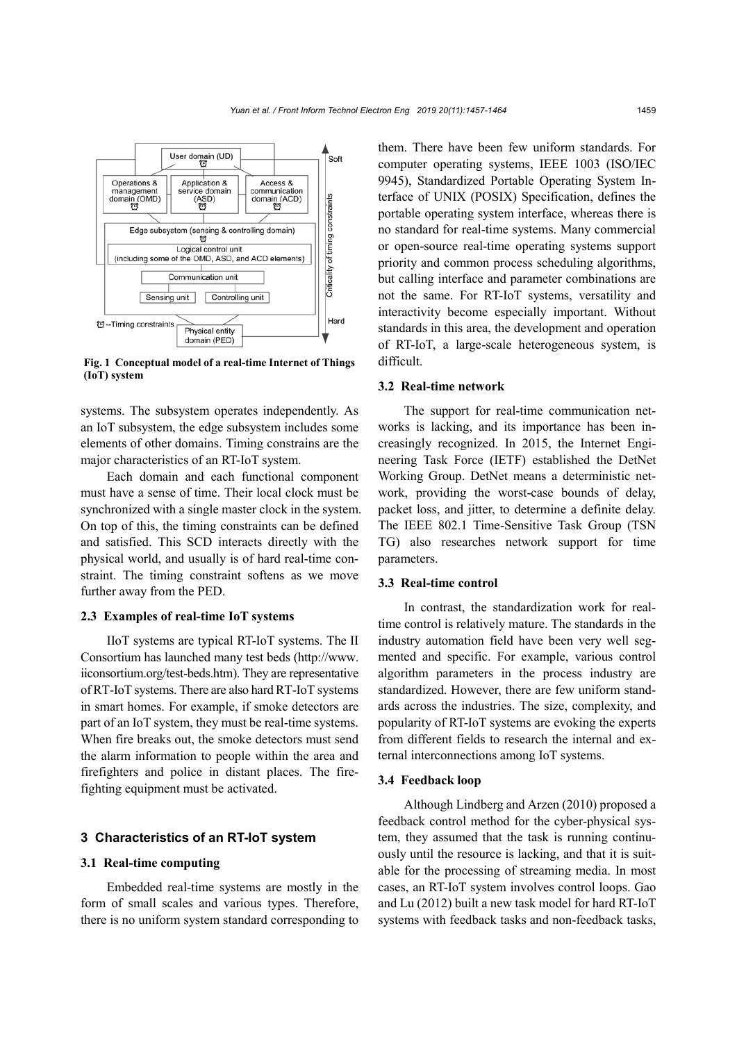

**Fig. 1 Conceptual model of a real-time Internet of Things (IoT) system**

systems. The subsystem operates independently. As an IoT subsystem, the edge subsystem includes some elements of other domains. Timing constrains are the major characteristics of an RT-IoT system.

Each domain and each functional component must have a sense of time. Their local clock must be synchronized with a single master clock in the system. On top of this, the timing constraints can be defined and satisfied. This SCD interacts directly with the physical world, and usually is of hard real-time constraint. The timing constraint softens as we move further away from the PED.

## **2.3 Examples of real-time IoT systems**

IIoT systems are typical RT-IoT systems. The II Consortium has launched many test beds (http://www. iiconsortium.org/test-beds.htm). They are representative of RT-IoT systems. There are also hard RT-IoT systems in smart homes. For example, if smoke detectors are part of an IoT system, they must be real-time systems. When fire breaks out, the smoke detectors must send the alarm information to people within the area and firefighters and police in distant places. The firefighting equipment must be activated.

#### **3 Characteristics of an RT-IoT system**

## **3.1 Real-time computing**

Embedded real-time systems are mostly in the form of small scales and various types. Therefore, there is no uniform system standard corresponding to them. There have been few uniform standards. For computer operating systems, IEEE 1003 (ISO/IEC 9945), Standardized Portable Operating System Interface of UNIX (POSIX) Specification, defines the portable operating system interface, whereas there is no standard for real-time systems. Many commercial or open-source real-time operating systems support priority and common process scheduling algorithms, but calling interface and parameter combinations are not the same. For RT-IoT systems, versatility and interactivity become especially important. Without standards in this area, the development and operation of RT-IoT, a large-scale heterogeneous system, is difficult.

## **3.2 Real-time network**

The support for real-time communication networks is lacking, and its importance has been increasingly recognized. In 2015, the Internet Engineering Task Force (IETF) established the DetNet Working Group. DetNet means a deterministic network, providing the worst-case bounds of delay, packet loss, and jitter, to determine a definite delay. The IEEE 802.1 Time-Sensitive Task Group (TSN TG) also researches network support for time parameters.

#### **3.3 Real-time control**

In contrast, the standardization work for realtime control is relatively mature. The standards in the industry automation field have been very well segmented and specific. For example, various control algorithm parameters in the process industry are standardized. However, there are few uniform standards across the industries. The size, complexity, and popularity of RT-IoT systems are evoking the experts from different fields to research the internal and external interconnections among IoT systems.

## **3.4 Feedback loop**

Although Lindberg and Arzen (2010) proposed a feedback control method for the cyber-physical system, they assumed that the task is running continuously until the resource is lacking, and that it is suitable for the processing of streaming media. In most cases, an RT-IoT system involves control loops. Gao and Lu (2012) built a new task model for hard RT-IoT systems with feedback tasks and non-feedback tasks,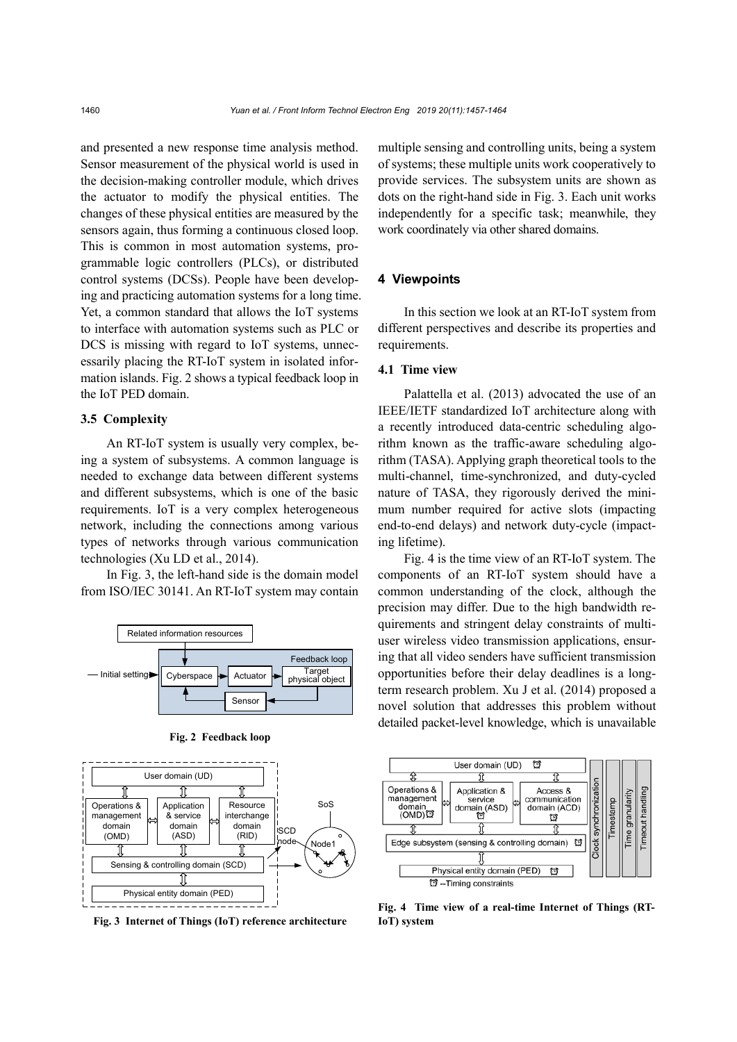and presented a new response time analysis method. Sensor measurement of the physical world is used in the decision-making controller module, which drives the actuator to modify the physical entities. The changes of these physical entities are measured by the sensors again, thus forming a continuous closed loop. This is common in most automation systems, programmable logic controllers (PLCs), or distributed control systems (DCSs). People have been developing and practicing automation systems for a long time. Yet, a common standard that allows the IoT systems to interface with automation systems such as PLC or DCS is missing with regard to IoT systems, unnecessarily placing the RT-IoT system in isolated information islands. Fig. 2 shows a typical feedback loop in the IoT PED domain.

## **3.5 Complexity**

An RT-IoT system is usually very complex, being a system of subsystems. A common language is needed to exchange data between different systems and different subsystems, which is one of the basic requirements. IoT is a very complex heterogeneous network, including the connections among various types of networks through various communication technologies (Xu LD et al., 2014).

In Fig. 3, the left-hand side is the domain model from ISO/IEC 30141. An RT-IoT system may contain





**Fig. 2 Feedback loop**

**Fig. 3 Internet of Things (IoT) reference architecture**

multiple sensing and controlling units, being a system of systems; these multiple units work cooperatively to provide services. The subsystem units are shown as dots on the right-hand side in Fig. 3. Each unit works independently for a specific task; meanwhile, they work coordinately via other shared domains.

## **4 Viewpoints**

In this section we look at an RT-IoT system from different perspectives and describe its properties and requirements.

## **4.1 Time view**

Palattella et al. (2013) advocated the use of an IEEE/IETF standardized IoT architecture along with a recently introduced data-centric scheduling algorithm known as the traffic-aware scheduling algorithm (TASA). Applying graph theoretical tools to the multi-channel, time-synchronized, and duty-cycled nature of TASA, they rigorously derived the minimum number required for active slots (impacting end-to-end delays) and network duty-cycle (impacting lifetime).

Fig. 4 is the time view of an RT-IoT system. The components of an RT-IoT system should have a common understanding of the clock, although the precision may differ. Due to the high bandwidth requirements and stringent delay constraints of multiuser wireless video transmission applications, ensuring that all video senders have sufficient transmission opportunities before their delay deadlines is a longterm research problem. Xu J et al. (2014) proposed a novel solution that addresses this problem without detailed packet-level knowledge, which is unavailable



**Fig. 4 Time view of a real-time Internet of Things (RT-IoT) system**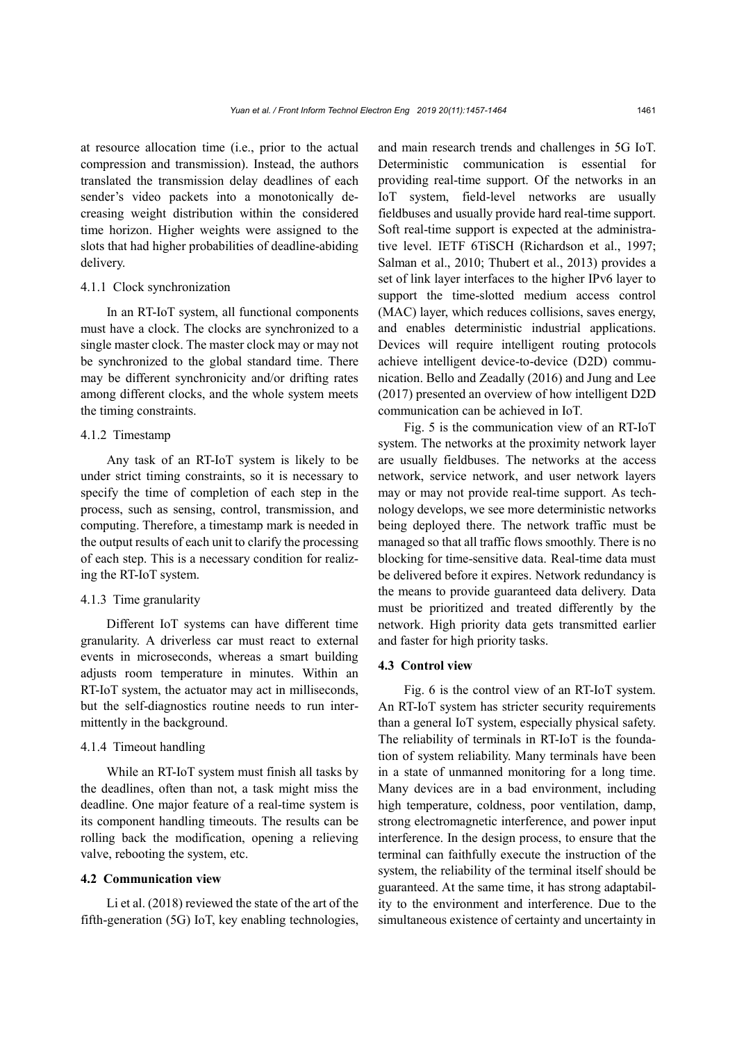at resource allocation time (i.e., prior to the actual compression and transmission). Instead, the authors translated the transmission delay deadlines of each sender's video packets into a monotonically decreasing weight distribution within the considered time horizon. Higher weights were assigned to the slots that had higher probabilities of deadline-abiding delivery.

#### 4.1.1 Clock synchronization

In an RT-IoT system, all functional components must have a clock. The clocks are synchronized to a single master clock. The master clock may or may not be synchronized to the global standard time. There may be different synchronicity and/or drifting rates among different clocks, and the whole system meets the timing constraints.

## 4.1.2 Timestamp

Any task of an RT-IoT system is likely to be under strict timing constraints, so it is necessary to specify the time of completion of each step in the process, such as sensing, control, transmission, and computing. Therefore, a timestamp mark is needed in the output results of each unit to clarify the processing of each step. This is a necessary condition for realizing the RT-IoT system.

#### 4.1.3 Time granularity

Different IoT systems can have different time granularity. A driverless car must react to external events in microseconds, whereas a smart building adjusts room temperature in minutes. Within an RT-IoT system, the actuator may act in milliseconds, but the self-diagnostics routine needs to run intermittently in the background.

#### 4.1.4 Timeout handling

While an RT-IoT system must finish all tasks by the deadlines, often than not, a task might miss the deadline. One major feature of a real-time system is its component handling timeouts. The results can be rolling back the modification, opening a relieving valve, rebooting the system, etc.

## **4.2 Communication view**

Li et al. (2018) reviewed the state of the art of the fifth-generation (5G) IoT, key enabling technologies, and main research trends and challenges in 5G IoT. Deterministic communication is essential for providing real-time support. Of the networks in an IoT system, field-level networks are usually fieldbuses and usually provide hard real-time support. Soft real-time support is expected at the administrative level. IETF 6TiSCH (Richardson et al., 1997; Salman et al., 2010; Thubert et al., 2013) provides a set of link layer interfaces to the higher IPv6 layer to support the time-slotted medium access control (MAC) layer, which reduces collisions, saves energy, and enables deterministic industrial applications. Devices will require intelligent routing protocols achieve intelligent device-to-device (D2D) communication. Bello and Zeadally (2016) and Jung and Lee (2017) presented an overview of how intelligent D2D communication can be achieved in IoT.

Fig. 5 is the communication view of an RT-IoT system. The networks at the proximity network layer are usually fieldbuses. The networks at the access network, service network, and user network layers may or may not provide real-time support. As technology develops, we see more deterministic networks being deployed there. The network traffic must be managed so that all traffic flows smoothly. There is no blocking for time-sensitive data. Real-time data must be delivered before it expires. Network redundancy is the means to provide guaranteed data delivery. Data must be prioritized and treated differently by the network. High priority data gets transmitted earlier and faster for high priority tasks.

#### **4.3 Control view**

Fig. 6 is the control view of an RT-IoT system. An RT-IoT system has stricter security requirements than a general IoT system, especially physical safety. The reliability of terminals in RT-IoT is the foundation of system reliability. Many terminals have been in a state of unmanned monitoring for a long time. Many devices are in a bad environment, including high temperature, coldness, poor ventilation, damp, strong electromagnetic interference, and power input interference. In the design process, to ensure that the terminal can faithfully execute the instruction of the system, the reliability of the terminal itself should be guaranteed. At the same time, it has strong adaptability to the environment and interference. Due to the simultaneous existence of certainty and uncertainty in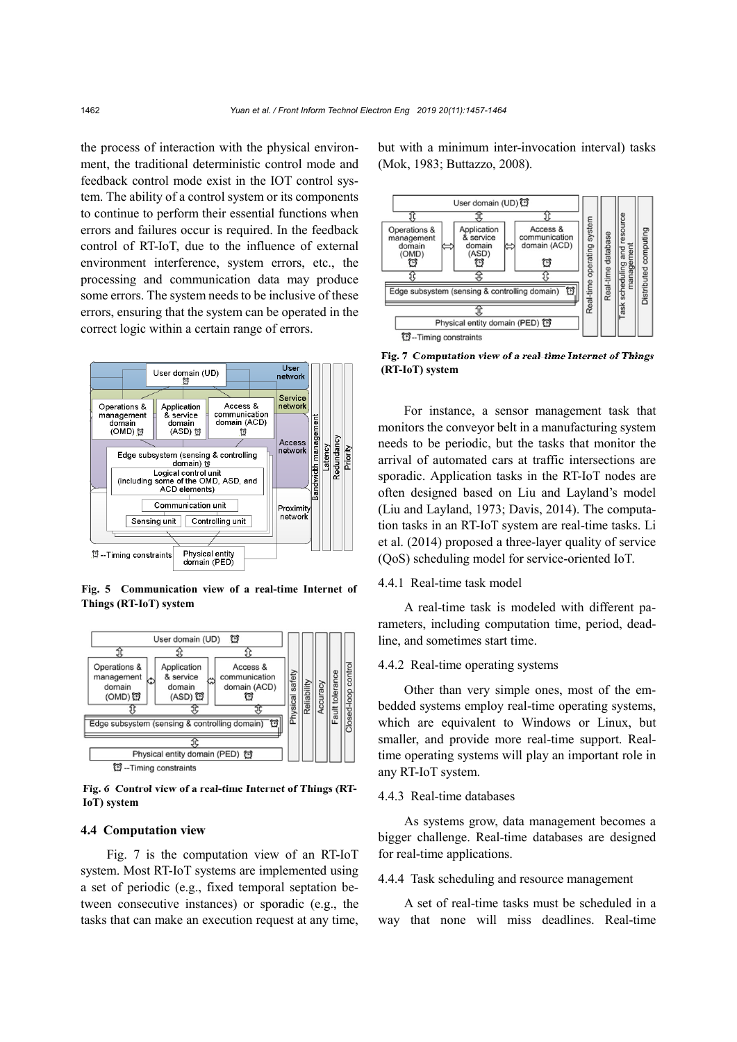the process of interaction with the physical environment, the traditional deterministic control mode and feedback control mode exist in the IOT control system. The ability of a control system or its components to continue to perform their essential functions when errors and failures occur is required. In the feedback control of RT-IoT, due to the influence of external environment interference, system errors, etc., the processing and communication data may produce some errors. The system needs to be inclusive of these errors, ensuring that the system can be operated in the correct logic within a certain range of errors.



**Fig. 5 Communication view of a real-time Internet of Things (RT-IoT) system**



**Fig. 6 Control view of a real-time Internet of Things (RT-IoT) system**

#### **4.4 Computation view**

Fig. 7 is the computation view of an RT-IoT system. Most RT-IoT systems are implemented using a set of periodic (e.g., fixed temporal septation between consecutive instances) or sporadic (e.g., the tasks that can make an execution request at any time, but with a minimum inter-invocation interval) tasks (Mok, 1983; Buttazzo, 2008).



**Fig. 7 Computation view of a real-time Internet of Things (RT-IoT) system**

For instance, a sensor management task that monitors the conveyor belt in a manufacturing system needs to be periodic, but the tasks that monitor the arrival of automated cars at traffic intersections are sporadic. Application tasks in the RT-IoT nodes are often designed based on Liu and Layland's model (Liu and Layland, 1973; Davis, 2014). The computation tasks in an RT-IoT system are real-time tasks. Li et al. (2014) proposed a three-layer quality of service (QoS) scheduling model for service-oriented IoT.

#### 4.4.1 Real-time task model

A real-time task is modeled with different parameters, including computation time, period, deadline, and sometimes start time.

#### 4.4.2 Real-time operating systems

Other than very simple ones, most of the embedded systems employ real-time operating systems, which are equivalent to Windows or Linux, but smaller, and provide more real-time support. Realtime operating systems will play an important role in any RT-IoT system.

## 4.4.3 Real-time databases

As systems grow, data management becomes a bigger challenge. Real-time databases are designed for real-time applications.

## 4.4.4 Task scheduling and resource management

A set of real-time tasks must be scheduled in a way that none will miss deadlines. Real-time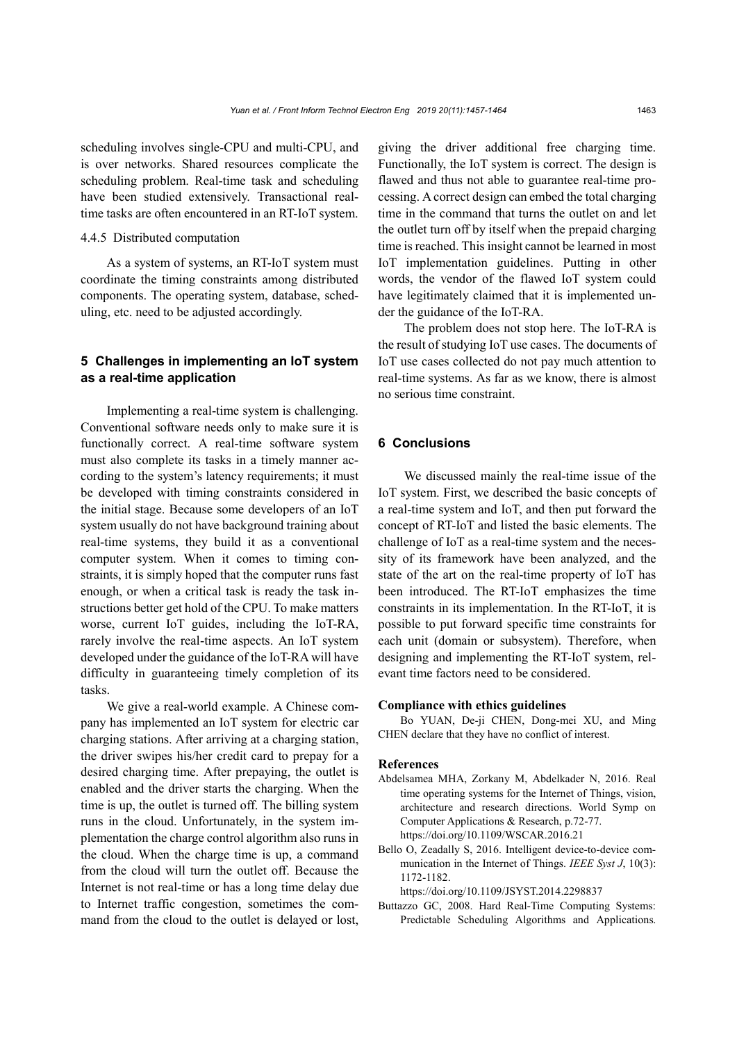scheduling involves single-CPU and multi-CPU, and is over networks. Shared resources complicate the scheduling problem. Real-time task and scheduling have been studied extensively. Transactional realtime tasks are often encountered in an RT-IoT system.

## 4.4.5 Distributed computation

As a system of systems, an RT-IoT system must coordinate the timing constraints among distributed components. The operating system, database, scheduling, etc. need to be adjusted accordingly.

# **5 Challenges in implementing an IoT system as a real-time application**

Implementing a real-time system is challenging. Conventional software needs only to make sure it is functionally correct. A real-time software system must also complete its tasks in a timely manner according to the system's latency requirements; it must be developed with timing constraints considered in the initial stage. Because some developers of an IoT system usually do not have background training about real-time systems, they build it as a conventional computer system. When it comes to timing constraints, it is simply hoped that the computer runs fast enough, or when a critical task is ready the task instructions better get hold of the CPU. To make matters worse, current IoT guides, including the IoT-RA, rarely involve the real-time aspects. An IoT system developed under the guidance of the IoT-RA will have difficulty in guaranteeing timely completion of its tasks.

We give a real-world example. A Chinese company has implemented an IoT system for electric car charging stations. After arriving at a charging station, the driver swipes his/her credit card to prepay for a desired charging time. After prepaying, the outlet is enabled and the driver starts the charging. When the time is up, the outlet is turned off. The billing system runs in the cloud. Unfortunately, in the system implementation the charge control algorithm also runs in the cloud. When the charge time is up, a command from the cloud will turn the outlet off. Because the Internet is not real-time or has a long time delay due to Internet traffic congestion, sometimes the command from the cloud to the outlet is delayed or lost, giving the driver additional free charging time. Functionally, the IoT system is correct. The design is flawed and thus not able to guarantee real-time processing. A correct design can embed the total charging time in the command that turns the outlet on and let the outlet turn off by itself when the prepaid charging time is reached. This insight cannot be learned in most IoT implementation guidelines. Putting in other words, the vendor of the flawed IoT system could have legitimately claimed that it is implemented under the guidance of the IoT-RA.

The problem does not stop here. The IoT-RA is the result of studying IoT use cases. The documents of IoT use cases collected do not pay much attention to real-time systems. As far as we know, there is almost no serious time constraint.

## **6 Conclusions**

We discussed mainly the real-time issue of the IoT system. First, we described the basic concepts of a real-time system and IoT, and then put forward the concept of RT-IoT and listed the basic elements. The challenge of IoT as a real-time system and the necessity of its framework have been analyzed, and the state of the art on the real-time property of IoT has been introduced. The RT-IoT emphasizes the time constraints in its implementation. In the RT-IoT, it is possible to put forward specific time constraints for each unit (domain or subsystem). Therefore, when designing and implementing the RT-IoT system, relevant time factors need to be considered.

#### **Compliance with ethics guidelines**

Bo YUAN, De-ji CHEN, Dong-mei XU, and Ming CHEN declare that they have no conflict of interest.

#### **References**

- Abdelsamea MHA, Zorkany M, Abdelkader N, 2016. Real time operating systems for the Internet of Things, vision, architecture and research directions. World Symp on Computer Applications & Research, p.72-77. https://doi.org/10.1109/WSCAR.2016.21
- Bello O, Zeadally S, 2016. Intelligent device-to-device communication in the Internet of Things. *IEEE Syst J*, 10(3): 1172-1182.

https://doi.org/10.1109/JSYST.2014.2298837

Buttazzo GC, 2008. Hard Real-Time Computing Systems: Predictable Scheduling Algorithms and Applications.